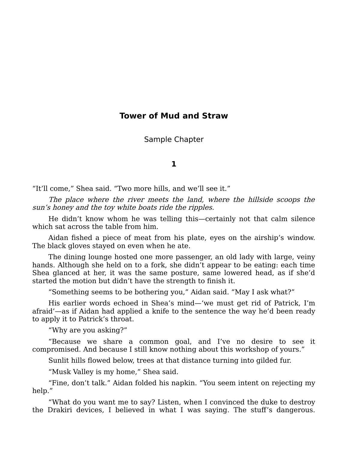## **Tower of Mud and Straw**

Sample Chapter

## **1**

"It'll come," Shea said. "Two more hills, and we'll see it."

The place where the river meets the land, where the hillside scoops the sun's honey and the toy white boats ride the ripples.

He didn't know whom he was telling this—certainly not that calm silence which sat across the table from him.

Aidan fished a piece of meat from his plate, eyes on the airship's window. The black gloves stayed on even when he ate.

The dining lounge hosted one more passenger, an old lady with large, veiny hands. Although she held on to a fork, she didn't appear to be eating: each time Shea glanced at her, it was the same posture, same lowered head, as if she'd started the motion but didn't have the strength to finish it.

"Something seems to be bothering you," Aidan said. "May I ask what?"

His earlier words echoed in Shea's mind—'we must get rid of Patrick, I'm afraid'—as if Aidan had applied a knife to the sentence the way he'd been ready to apply it to Patrick's throat.

"Why are you asking?"

"Because we share a common goal, and I've no desire to see it compromised. And because I still know nothing about this workshop of yours."

Sunlit hills flowed below, trees at that distance turning into gilded fur.

"Musk Valley is my home," Shea said.

"Fine, don't talk." Aidan folded his napkin. "You seem intent on rejecting my help."

"What do you want me to say? Listen, when I convinced the duke to destroy the Drakiri devices, I believed in what I was saying. The stuff's dangerous.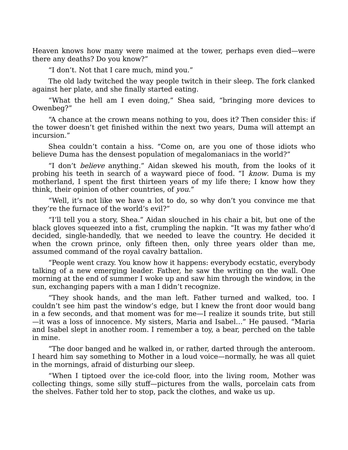Heaven knows how many were maimed at the tower, perhaps even died—were there any deaths? Do you know?"

"I don't. Not that I care much, mind you."

The old lady twitched the way people twitch in their sleep. The fork clanked against her plate, and she finally started eating.

"What the hell am I even doing," Shea said, "bringing more devices to Owenbeg?"

"A chance at the crown means nothing to you, does it? Then consider this: if the tower doesn't get finished within the next two years, Duma will attempt an incursion."

Shea couldn't contain a hiss. "Come on, are you one of those idiots who believe Duma has the densest population of megalomaniacs in the world?"

"I don't believe anything." Aidan skewed his mouth, from the looks of it probing his teeth in search of a wayward piece of food. "I know. Duma is my motherland, I spent the first thirteen years of my life there; I know how they think, their opinion of other countries, of you."

"Well, it's not like we have a lot to do, so why don't you convince me that they're the furnace of the world's evil?"

"I'll tell you a story, Shea." Aidan slouched in his chair a bit, but one of the black gloves squeezed into a fist, crumpling the napkin. "It was my father who'd decided, single-handedly, that we needed to leave the country. He decided it when the crown prince, only fifteen then, only three years older than me, assumed command of the royal cavalry battalion.

"People went crazy. You know how it happens: everybody ecstatic, everybody talking of a new emerging leader. Father, he saw the writing on the wall. One morning at the end of summer I woke up and saw him through the window, in the sun, exchanging papers with a man I didn't recognize.

"They shook hands, and the man left. Father turned and walked, too. I couldn't see him past the window's edge, but I knew the front door would bang in a few seconds, and that moment was for me—I realize it sounds trite, but still —it was a loss of innocence. My sisters, Maria and Isabel…" He paused. "Maria and Isabel slept in another room. I remember a toy, a bear, perched on the table in mine.

"The door banged and he walked in, or rather, darted through the anteroom. I heard him say something to Mother in a loud voice—normally, he was all quiet in the mornings, afraid of disturbing our sleep.

"When I tiptoed over the ice-cold floor, into the living room, Mother was collecting things, some silly stuff—pictures from the walls, porcelain cats from the shelves. Father told her to stop, pack the clothes, and wake us up.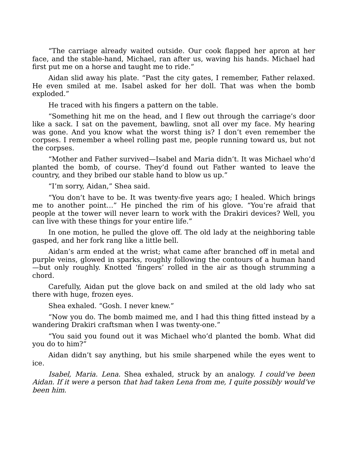"The carriage already waited outside. Our cook flapped her apron at her face, and the stable-hand, Michael, ran after us, waving his hands. Michael had first put me on a horse and taught me to ride."

Aidan slid away his plate. "Past the city gates, I remember, Father relaxed. He even smiled at me. Isabel asked for her doll. That was when the bomb exploded."

He traced with his fingers a pattern on the table.

"Something hit me on the head, and I flew out through the carriage's door like a sack. I sat on the pavement, bawling, snot all over my face. My hearing was gone. And you know what the worst thing is? I don't even remember the corpses. I remember a wheel rolling past me, people running toward us, but not the corpses.

"Mother and Father survived—Isabel and Maria didn't. It was Michael who'd planted the bomb, of course. They'd found out Father wanted to leave the country, and they bribed our stable hand to blow us up."

"I'm sorry, Aidan," Shea said.

"You don't have to be. It was twenty-five years ago; I healed. Which brings me to another point…" He pinched the rim of his glove. "You're afraid that people at the tower will never learn to work with the Drakiri devices? Well, you can live with these things for your entire life."

In one motion, he pulled the glove off. The old lady at the neighboring table gasped, and her fork rang like a little bell.

Aidan's arm ended at the wrist; what came after branched off in metal and purple veins, glowed in sparks, roughly following the contours of a human hand —but only roughly. Knotted 'fingers' rolled in the air as though strumming a chord.

Carefully, Aidan put the glove back on and smiled at the old lady who sat there with huge, frozen eyes.

Shea exhaled. "Gosh. I never knew."

"Now you do. The bomb maimed me, and I had this thing fitted instead by a wandering Drakiri craftsman when I was twenty-one."

"You said you found out it was Michael who'd planted the bomb. What did you do to him?"

Aidan didn't say anything, but his smile sharpened while the eyes went to ice.

Isabel, Maria. Lena. Shea exhaled, struck by an analogy. I could've been Aidan. If it were a person that had taken Lena from me, I quite possibly would've been him.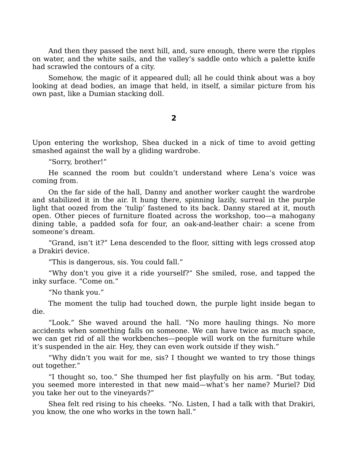And then they passed the next hill, and, sure enough, there were the ripples on water, and the white sails, and the valley's saddle onto which a palette knife had scrawled the contours of a city.

Somehow, the magic of it appeared dull; all he could think about was a boy looking at dead bodies, an image that held, in itself, a similar picture from his own past, like a Dumian stacking doll.

## **2**

Upon entering the workshop, Shea ducked in a nick of time to avoid getting smashed against the wall by a gliding wardrobe.

"Sorry, brother!"

He scanned the room but couldn't understand where Lena's voice was coming from.

On the far side of the hall, Danny and another worker caught the wardrobe and stabilized it in the air. It hung there, spinning lazily, surreal in the purple light that oozed from the 'tulip' fastened to its back. Danny stared at it, mouth open. Other pieces of furniture floated across the workshop, too—a mahogany dining table, a padded sofa for four, an oak-and-leather chair: a scene from someone's dream.

"Grand, isn't it?" Lena descended to the floor, sitting with legs crossed atop a Drakiri device.

"This is dangerous, sis. You could fall."

"Why don't you give it a ride yourself?" She smiled, rose, and tapped the inky surface. "Come on."

"No thank you."

The moment the tulip had touched down, the purple light inside began to die.

"Look." She waved around the hall. "No more hauling things. No more accidents when something falls on someone. We can have twice as much space, we can get rid of all the workbenches—people will work on the furniture while it's suspended in the air. Hey, they can even work outside if they wish."

"Why didn't you wait for me, sis? I thought we wanted to try those things out together."

"I thought so, too." She thumped her fist playfully on his arm. "But today, you seemed more interested in that new maid—what's her name? Muriel? Did you take her out to the vineyards?"

Shea felt red rising to his cheeks. "No. Listen, I had a talk with that Drakiri, you know, the one who works in the town hall."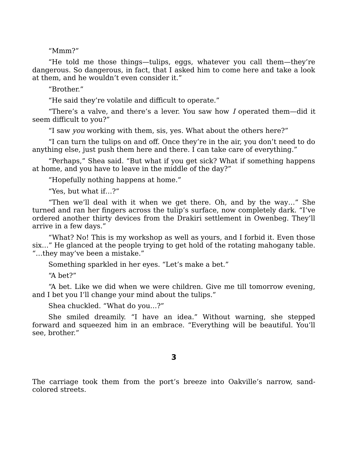"Mmm?"

"He told me those things—tulips, eggs, whatever you call them—they're dangerous. So dangerous, in fact, that I asked him to come here and take a look at them, and he wouldn't even consider it."

"Brother"

"He said they're volatile and difficult to operate."

"There's a valve, and there's a lever. You saw how  $I$  operated them—did it seem difficult to you?"

"I saw you working with them, sis, yes. What about the others here?"

"I can turn the tulips on and off. Once they're in the air, you don't need to do anything else, just push them here and there. I can take care of everything."

"Perhaps," Shea said. "But what if you get sick? What if something happens at home, and you have to leave in the middle of the day?"

"Hopefully nothing happens at home."

"Yes, but what if…?"

"Then we'll deal with it when we get there. Oh, and by the way…" She turned and ran her fingers across the tulip's surface, now completely dark. "I've ordered another thirty devices from the Drakiri settlement in Owenbeg. They'll arrive in a few days."

"What? No! This is my workshop as well as yours, and I forbid it. Even those six…" He glanced at the people trying to get hold of the rotating mahogany table. "…they may've been a mistake."

Something sparkled in her eyes. "Let's make a bet."

"A bet?"

"A bet. Like we did when we were children. Give me till tomorrow evening, and I bet you I'll change your mind about the tulips."

Shea chuckled. "What do you…?"

She smiled dreamily. "I have an idea." Without warning, she stepped forward and squeezed him in an embrace. "Everything will be beautiful. You'll see, brother."

**3**

The carriage took them from the port's breeze into Oakville's narrow, sandcolored streets.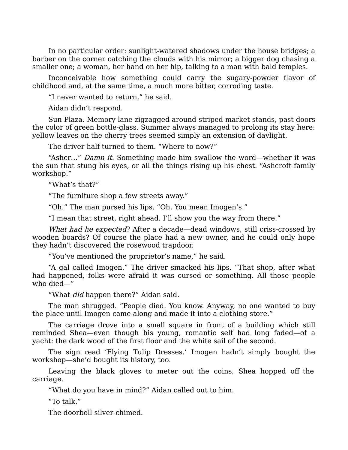In no particular order: sunlight-watered shadows under the house bridges; a barber on the corner catching the clouds with his mirror; a bigger dog chasing a smaller one; a woman, her hand on her hip, talking to a man with bald temples.

Inconceivable how something could carry the sugary-powder flavor of childhood and, at the same time, a much more bitter, corroding taste.

"I never wanted to return," he said.

Aidan didn't respond.

Sun Plaza. Memory lane zigzagged around striped market stands, past doors the color of green bottle-glass. Summer always managed to prolong its stay here: yellow leaves on the cherry trees seemed simply an extension of daylight.

The driver half-turned to them. "Where to now?"

"Ashcr…" Damn it. Something made him swallow the word—whether it was the sun that stung his eyes, or all the things rising up his chest. "Ashcroft family workshop."

"What's that?"

"The furniture shop a few streets away."

"Oh." The man pursed his lips. "Oh. You mean Imogen's."

"I mean that street, right ahead. I'll show you the way from there."

What had he expected? After a decade—dead windows, still criss-crossed by wooden boards? Of course the place had a new owner, and he could only hope they hadn't discovered the rosewood trapdoor.

"You've mentioned the proprietor's name," he said.

"A gal called Imogen." The driver smacked his lips. "That shop, after what had happened, folks were afraid it was cursed or something. All those people who died—"

"What did happen there?" Aidan said.

The man shrugged. "People died. You know. Anyway, no one wanted to buy the place until Imogen came along and made it into a clothing store."

The carriage drove into a small square in front of a building which still reminded Shea—even though his young, romantic self had long faded—of a yacht: the dark wood of the first floor and the white sail of the second.

The sign read 'Flying Tulip Dresses.' Imogen hadn't simply bought the workshop—she'd bought its history, too.

Leaving the black gloves to meter out the coins, Shea hopped off the carriage.

"What do you have in mind?" Aidan called out to him.

"To talk."

The doorbell silver-chimed.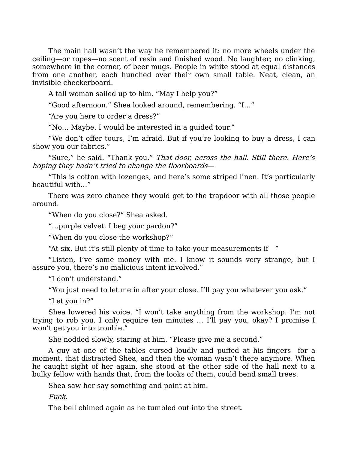The main hall wasn't the way he remembered it: no more wheels under the ceiling—or ropes—no scent of resin and finished wood. No laughter; no clinking, somewhere in the corner, of beer mugs. People in white stood at equal distances from one another, each hunched over their own small table. Neat, clean, an invisible checkerboard.

A tall woman sailed up to him. "May I help you?"

"Good afternoon." Shea looked around, remembering. "I…"

"Are you here to order a dress?"

"No… Maybe. I would be interested in a guided tour."

"We don't offer tours, I'm afraid. But if you're looking to buy a dress, I can show you our fabrics."

"Sure," he said. "Thank you." That door, across the hall. Still there. Here's hoping they hadn't tried to change the floorboards—

"This is cotton with lozenges, and here's some striped linen. It's particularly beautiful with…"

There was zero chance they would get to the trapdoor with all those people around.

"When do you close?" Shea asked.

"…purple velvet. I beg your pardon?"

"When do you close the workshop?"

"At six. But it's still plenty of time to take your measurements if—"

"Listen, I've some money with me. I know it sounds very strange, but I assure you, there's no malicious intent involved."

"I don't understand."

"You just need to let me in after your close. I'll pay you whatever you ask."

"Let you in?"

Shea lowered his voice. "I won't take anything from the workshop. I'm not trying to rob you. I only require ten minutes … I'll pay you, okay? I promise I won't get you into trouble."

She nodded slowly, staring at him. "Please give me a second."

A guy at one of the tables cursed loudly and puffed at his fingers—for a moment, that distracted Shea, and then the woman wasn't there anymore. When he caught sight of her again, she stood at the other side of the hall next to a bulky fellow with hands that, from the looks of them, could bend small trees.

Shea saw her say something and point at him.

Fuck.

The bell chimed again as he tumbled out into the street.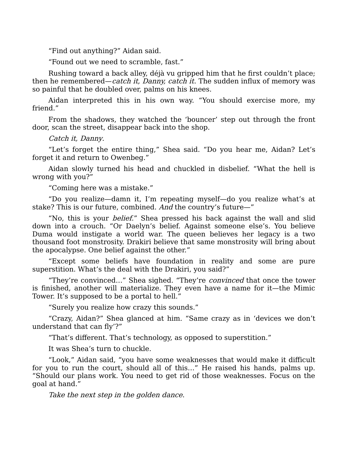"Find out anything?" Aidan said.

"Found out we need to scramble, fast."

Rushing toward a back alley, déjà vu gripped him that he first couldn't place; then he remembered—catch it, Danny, catch it. The sudden influx of memory was so painful that he doubled over, palms on his knees.

Aidan interpreted this in his own way. "You should exercise more, my friend."

From the shadows, they watched the 'bouncer' step out through the front door, scan the street, disappear back into the shop.

Catch it, Danny.

"Let's forget the entire thing," Shea said. "Do you hear me, Aidan? Let's forget it and return to Owenbeg."

Aidan slowly turned his head and chuckled in disbelief. "What the hell is wrong with you?"

"Coming here was a mistake."

"Do you realize—damn it, I'm repeating myself—do you realize what's at stake? This is our future, combined. And the country's future—"

"No, this is your *belief.*" Shea pressed his back against the wall and slid down into a crouch. "Or Daelyn's belief. Against someone else's. You believe Duma would instigate a world war. The queen believes her legacy is a two thousand foot monstrosity. Drakiri believe that same monstrosity will bring about the apocalypse. One belief against the other."

"Except some beliefs have foundation in reality and some are pure superstition. What's the deal with the Drakiri, you said?"

"They're convinced…" Shea sighed. "They're convinced that once the tower is finished, another will materialize. They even have a name for it—the Mimic Tower. It's supposed to be a portal to hell."

"Surely you realize how crazy this sounds."

"Crazy, Aidan?" Shea glanced at him. "Same crazy as in 'devices we don't understand that can fly'?"

"That's different. That's technology, as opposed to superstition."

It was Shea's turn to chuckle.

"Look," Aidan said, "you have some weaknesses that would make it difficult for you to run the court, should all of this…" He raised his hands, palms up. "Should our plans work. You need to get rid of those weaknesses. Focus on the goal at hand."

Take the next step in the golden dance.